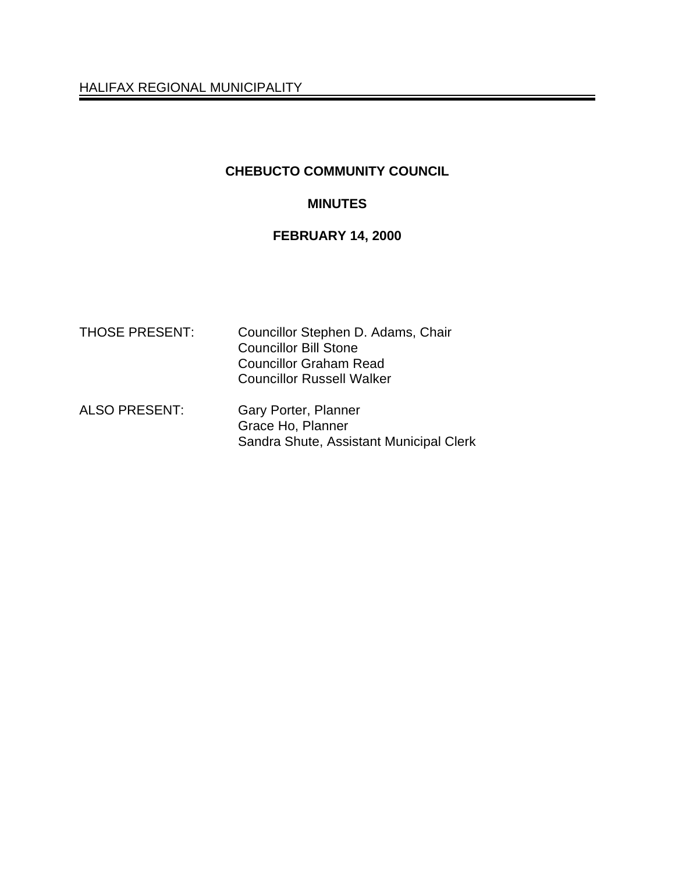HALIFAX REGIONAL MUNICIPALITY

## **CHEBUCTO COMMUNITY COUNCIL**

## **MINUTES**

## **FEBRUARY 14, 2000**

| <b>THOSE PRESENT:</b> | Councillor Stephen D. Adams, Chair<br><b>Councillor Bill Stone</b><br><b>Councillor Graham Read</b><br><b>Councillor Russell Walker</b> |
|-----------------------|-----------------------------------------------------------------------------------------------------------------------------------------|
| <b>ALSO PRESENT:</b>  | Gary Porter, Planner<br>Grace Ho, Planner<br>Sandra Shute, Assistant Municipal Clerk                                                    |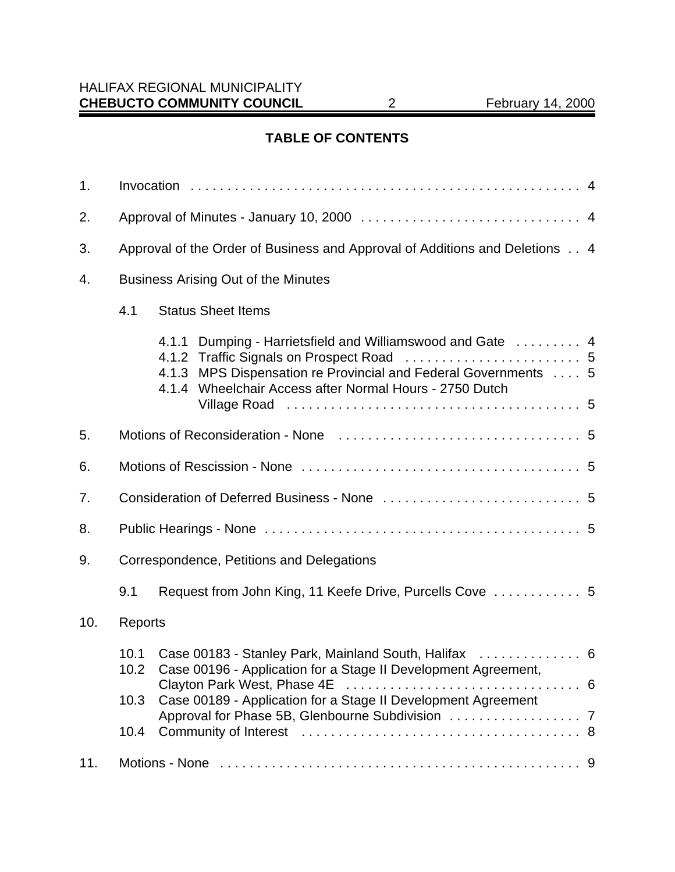## **TABLE OF CONTENTS**

| 1.  |                                                                             |       |                                                                                                                                                                                    |  |
|-----|-----------------------------------------------------------------------------|-------|------------------------------------------------------------------------------------------------------------------------------------------------------------------------------------|--|
| 2.  |                                                                             |       |                                                                                                                                                                                    |  |
| 3.  | Approval of the Order of Business and Approval of Additions and Deletions 4 |       |                                                                                                                                                                                    |  |
| 4.  | <b>Business Arising Out of the Minutes</b>                                  |       |                                                                                                                                                                                    |  |
|     | 4.1                                                                         |       | <b>Status Sheet Items</b>                                                                                                                                                          |  |
|     |                                                                             | 4.1.3 | 4.1.1 Dumping - Harrietsfield and Williamswood and Gate  4<br>MPS Dispensation re Provincial and Federal Governments  5<br>4.1.4 Wheelchair Access after Normal Hours - 2750 Dutch |  |
| 5.  |                                                                             |       |                                                                                                                                                                                    |  |
| 6.  |                                                                             |       |                                                                                                                                                                                    |  |
| 7.  |                                                                             |       |                                                                                                                                                                                    |  |
| 8.  |                                                                             |       |                                                                                                                                                                                    |  |
| 9.  | Correspondence, Petitions and Delegations                                   |       |                                                                                                                                                                                    |  |
|     | 9.1                                                                         |       |                                                                                                                                                                                    |  |
| 10. | Reports                                                                     |       |                                                                                                                                                                                    |  |
|     | 10.1<br>10.2                                                                |       | Case 00183 - Stanley Park, Mainland South, Halifax  6<br>Case 00196 - Application for a Stage II Development Agreement,                                                            |  |
|     | 10.3                                                                        |       | Case 00189 - Application for a Stage II Development Agreement                                                                                                                      |  |
| 11. |                                                                             |       |                                                                                                                                                                                    |  |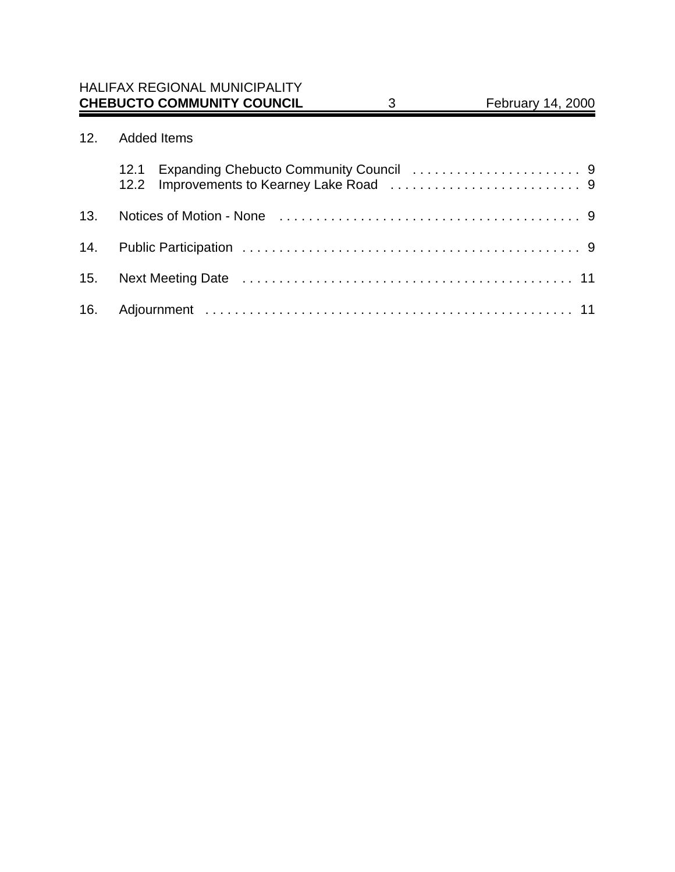# 12. Added Items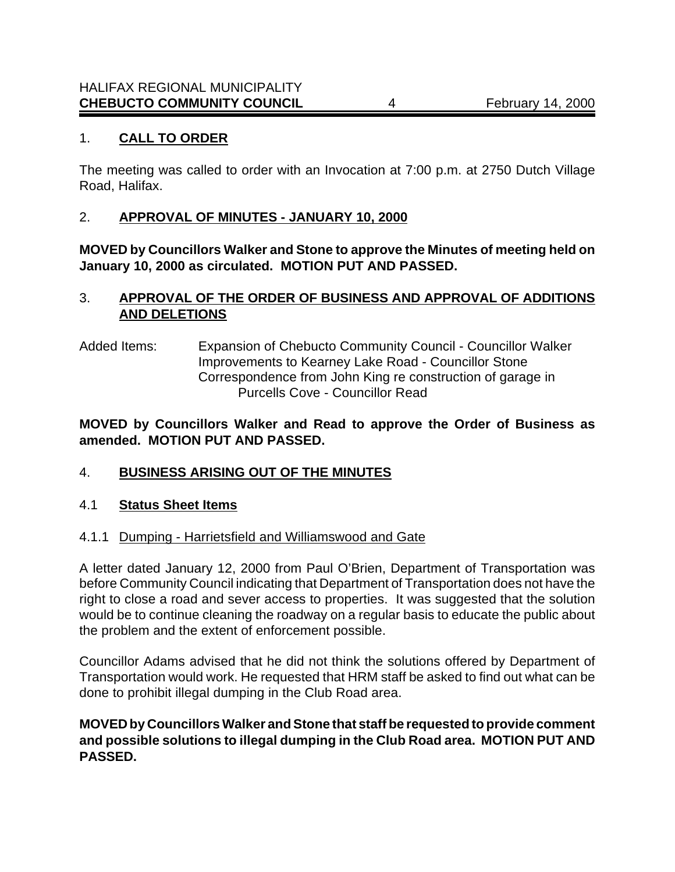## 1. **CALL TO ORDER**

The meeting was called to order with an Invocation at 7:00 p.m. at 2750 Dutch Village Road, Halifax.

## 2. **APPROVAL OF MINUTES - JANUARY 10, 2000**

**MOVED by Councillors Walker and Stone to approve the Minutes of meeting held on January 10, 2000 as circulated. MOTION PUT AND PASSED.**

## 3. **APPROVAL OF THE ORDER OF BUSINESS AND APPROVAL OF ADDITIONS AND DELETIONS**

Added Items: Expansion of Chebucto Community Council - Councillor Walker Improvements to Kearney Lake Road - Councillor Stone Correspondence from John King re construction of garage in Purcells Cove - Councillor Read

**MOVED by Councillors Walker and Read to approve the Order of Business as amended. MOTION PUT AND PASSED.**

#### 4. **BUSINESS ARISING OUT OF THE MINUTES**

#### 4.1 **Status Sheet Items**

4.1.1 Dumping - Harrietsfield and Williamswood and Gate

A letter dated January 12, 2000 from Paul O'Brien, Department of Transportation was before Community Council indicating that Department of Transportation does not have the right to close a road and sever access to properties. It was suggested that the solution would be to continue cleaning the roadway on a regular basis to educate the public about the problem and the extent of enforcement possible.

Councillor Adams advised that he did not think the solutions offered by Department of Transportation would work. He requested that HRM staff be asked to find out what can be done to prohibit illegal dumping in the Club Road area.

#### **MOVED by Councillors Walker and Stone that staff be requested to provide comment and possible solutions to illegal dumping in the Club Road area. MOTION PUT AND PASSED.**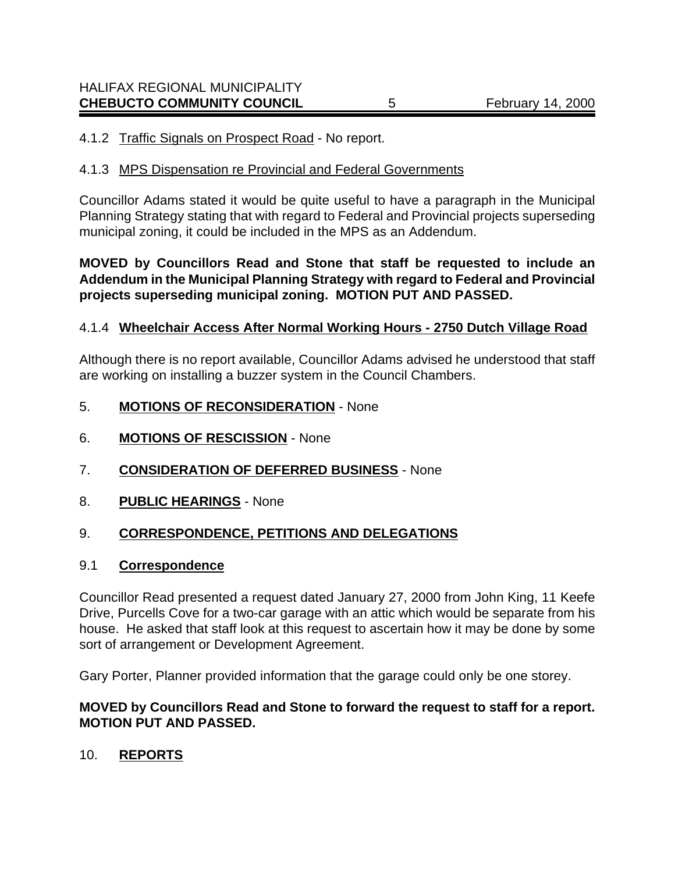## 4.1.2 Traffic Signals on Prospect Road - No report.

#### 4.1.3 MPS Dispensation re Provincial and Federal Governments

Councillor Adams stated it would be quite useful to have a paragraph in the Municipal Planning Strategy stating that with regard to Federal and Provincial projects superseding municipal zoning, it could be included in the MPS as an Addendum.

## **MOVED by Councillors Read and Stone that staff be requested to include an Addendum in the Municipal Planning Strategy with regard to Federal and Provincial projects superseding municipal zoning. MOTION PUT AND PASSED.**

## 4.1.4 **Wheelchair Access After Normal Working Hours - 2750 Dutch Village Road**

Although there is no report available, Councillor Adams advised he understood that staff are working on installing a buzzer system in the Council Chambers.

- 5. **MOTIONS OF RECONSIDERATION** None
- 6. **MOTIONS OF RESCISSION** None
- 7. **CONSIDERATION OF DEFERRED BUSINESS** None
- 8. **PUBLIC HEARINGS** None

## 9. **CORRESPONDENCE, PETITIONS AND DELEGATIONS**

#### 9.1 **Correspondence**

Councillor Read presented a request dated January 27, 2000 from John King, 11 Keefe Drive, Purcells Cove for a two-car garage with an attic which would be separate from his house. He asked that staff look at this request to ascertain how it may be done by some sort of arrangement or Development Agreement.

Gary Porter, Planner provided information that the garage could only be one storey.

#### **MOVED by Councillors Read and Stone to forward the request to staff for a report. MOTION PUT AND PASSED.**

#### 10. **REPORTS**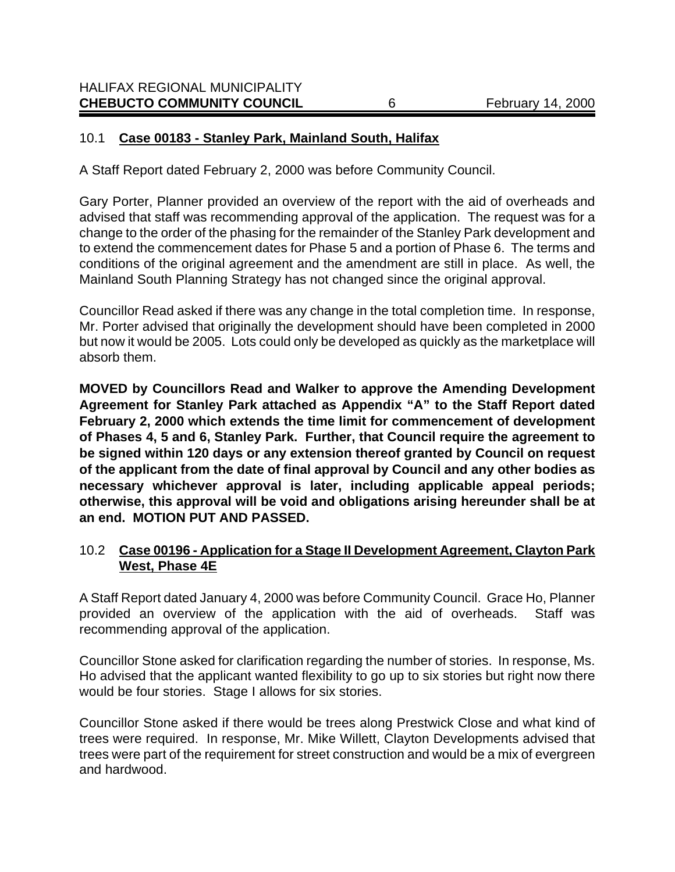## 10.1 **Case 00183 - Stanley Park, Mainland South, Halifax**

A Staff Report dated February 2, 2000 was before Community Council.

Gary Porter, Planner provided an overview of the report with the aid of overheads and advised that staff was recommending approval of the application. The request was for a change to the order of the phasing for the remainder of the Stanley Park development and to extend the commencement dates for Phase 5 and a portion of Phase 6. The terms and conditions of the original agreement and the amendment are still in place. As well, the Mainland South Planning Strategy has not changed since the original approval.

Councillor Read asked if there was any change in the total completion time. In response, Mr. Porter advised that originally the development should have been completed in 2000 but now it would be 2005. Lots could only be developed as quickly as the marketplace will absorb them.

**MOVED by Councillors Read and Walker to approve the Amending Development Agreement for Stanley Park attached as Appendix "A" to the Staff Report dated February 2, 2000 which extends the time limit for commencement of development of Phases 4, 5 and 6, Stanley Park. Further, that Council require the agreement to be signed within 120 days or any extension thereof granted by Council on request of the applicant from the date of final approval by Council and any other bodies as necessary whichever approval is later, including applicable appeal periods; otherwise, this approval will be void and obligations arising hereunder shall be at an end. MOTION PUT AND PASSED.**

## 10.2 **Case 00196 - Application for a Stage II Development Agreement, Clayton Park West, Phase 4E**

A Staff Report dated January 4, 2000 was before Community Council. Grace Ho, Planner provided an overview of the application with the aid of overheads. Staff was recommending approval of the application.

Councillor Stone asked for clarification regarding the number of stories. In response, Ms. Ho advised that the applicant wanted flexibility to go up to six stories but right now there would be four stories. Stage I allows for six stories.

Councillor Stone asked if there would be trees along Prestwick Close and what kind of trees were required. In response, Mr. Mike Willett, Clayton Developments advised that trees were part of the requirement for street construction and would be a mix of evergreen and hardwood.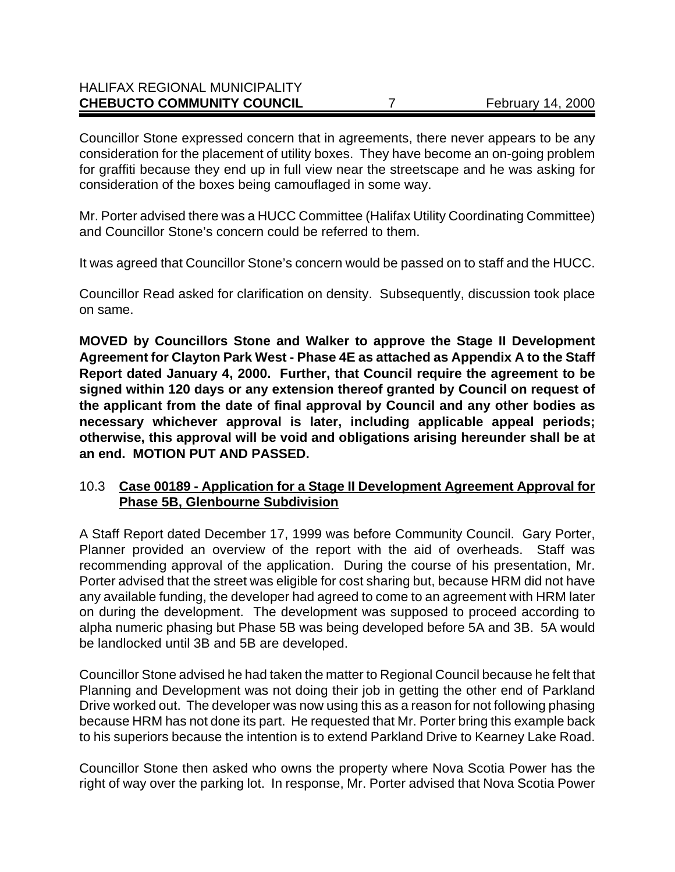## HALIFAX REGIONAL MUNICIPALITY **CHEBUCTO COMMUNITY COUNCIL** 7 February 14, 2000

Councillor Stone expressed concern that in agreements, there never appears to be any consideration for the placement of utility boxes. They have become an on-going problem for graffiti because they end up in full view near the streetscape and he was asking for consideration of the boxes being camouflaged in some way.

Mr. Porter advised there was a HUCC Committee (Halifax Utility Coordinating Committee) and Councillor Stone's concern could be referred to them.

It was agreed that Councillor Stone's concern would be passed on to staff and the HUCC.

Councillor Read asked for clarification on density. Subsequently, discussion took place on same.

**MOVED by Councillors Stone and Walker to approve the Stage II Development Agreement for Clayton Park West - Phase 4E as attached as Appendix A to the Staff Report dated January 4, 2000. Further, that Council require the agreement to be signed within 120 days or any extension thereof granted by Council on request of the applicant from the date of final approval by Council and any other bodies as necessary whichever approval is later, including applicable appeal periods; otherwise, this approval will be void and obligations arising hereunder shall be at an end. MOTION PUT AND PASSED.**

## 10.3 **Case 00189 - Application for a Stage II Development Agreement Approval for Phase 5B, Glenbourne Subdivision**

A Staff Report dated December 17, 1999 was before Community Council. Gary Porter, Planner provided an overview of the report with the aid of overheads. Staff was recommending approval of the application. During the course of his presentation, Mr. Porter advised that the street was eligible for cost sharing but, because HRM did not have any available funding, the developer had agreed to come to an agreement with HRM later on during the development. The development was supposed to proceed according to alpha numeric phasing but Phase 5B was being developed before 5A and 3B. 5A would be landlocked until 3B and 5B are developed.

Councillor Stone advised he had taken the matter to Regional Council because he felt that Planning and Development was not doing their job in getting the other end of Parkland Drive worked out. The developer was now using this as a reason for not following phasing because HRM has not done its part. He requested that Mr. Porter bring this example back to his superiors because the intention is to extend Parkland Drive to Kearney Lake Road.

Councillor Stone then asked who owns the property where Nova Scotia Power has the right of way over the parking lot. In response, Mr. Porter advised that Nova Scotia Power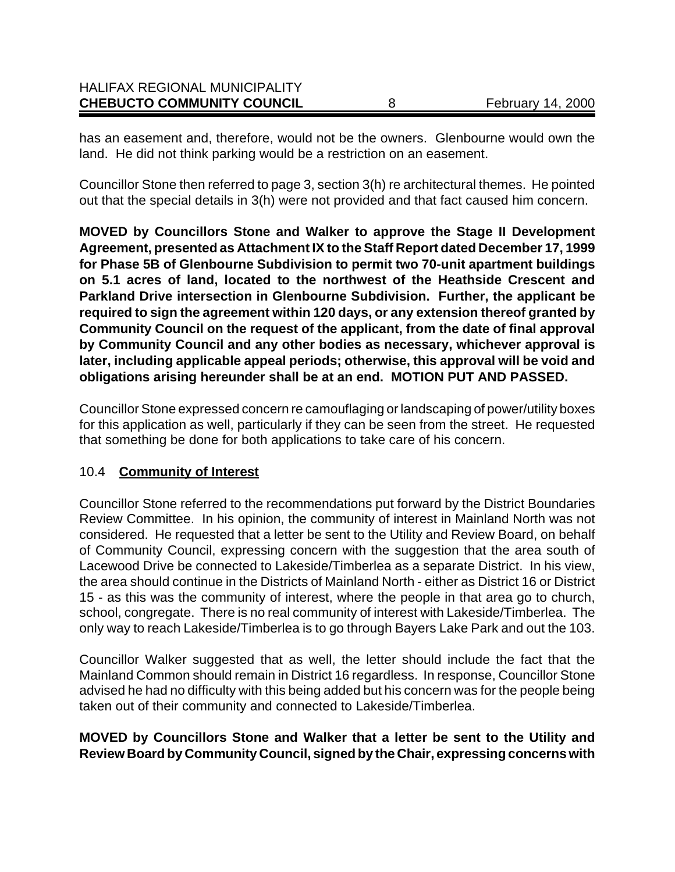| <b>CHEBUCTO COMMUNITY COUNCIL</b>    | <b>February 14, 2000</b> |
|--------------------------------------|--------------------------|
| <b>HALIFAX REGIONAL MUNICIPALITY</b> |                          |

has an easement and, therefore, would not be the owners. Glenbourne would own the land. He did not think parking would be a restriction on an easement.

Councillor Stone then referred to page 3, section 3(h) re architectural themes. He pointed out that the special details in 3(h) were not provided and that fact caused him concern.

**MOVED by Councillors Stone and Walker to approve the Stage II Development Agreement, presented as Attachment IX to the Staff Report dated December 17, 1999 for Phase 5B of Glenbourne Subdivision to permit two 70-unit apartment buildings on 5.1 acres of land, located to the northwest of the Heathside Crescent and Parkland Drive intersection in Glenbourne Subdivision. Further, the applicant be required to sign the agreement within 120 days, or any extension thereof granted by Community Council on the request of the applicant, from the date of final approval by Community Council and any other bodies as necessary, whichever approval is later, including applicable appeal periods; otherwise, this approval will be void and obligations arising hereunder shall be at an end. MOTION PUT AND PASSED.**

Councillor Stone expressed concern re camouflaging or landscaping of power/utility boxes for this application as well, particularly if they can be seen from the street. He requested that something be done for both applications to take care of his concern.

#### 10.4 **Community of Interest**

Councillor Stone referred to the recommendations put forward by the District Boundaries Review Committee. In his opinion, the community of interest in Mainland North was not considered. He requested that a letter be sent to the Utility and Review Board, on behalf of Community Council, expressing concern with the suggestion that the area south of Lacewood Drive be connected to Lakeside/Timberlea as a separate District. In his view, the area should continue in the Districts of Mainland North - either as District 16 or District 15 - as this was the community of interest, where the people in that area go to church, school, congregate. There is no real community of interest with Lakeside/Timberlea. The only way to reach Lakeside/Timberlea is to go through Bayers Lake Park and out the 103.

Councillor Walker suggested that as well, the letter should include the fact that the Mainland Common should remain in District 16 regardless. In response, Councillor Stone advised he had no difficulty with this being added but his concern was for the people being taken out of their community and connected to Lakeside/Timberlea.

#### **MOVED by Councillors Stone and Walker that a letter be sent to the Utility and Review Board by Community Council, signed by the Chair, expressing concerns with**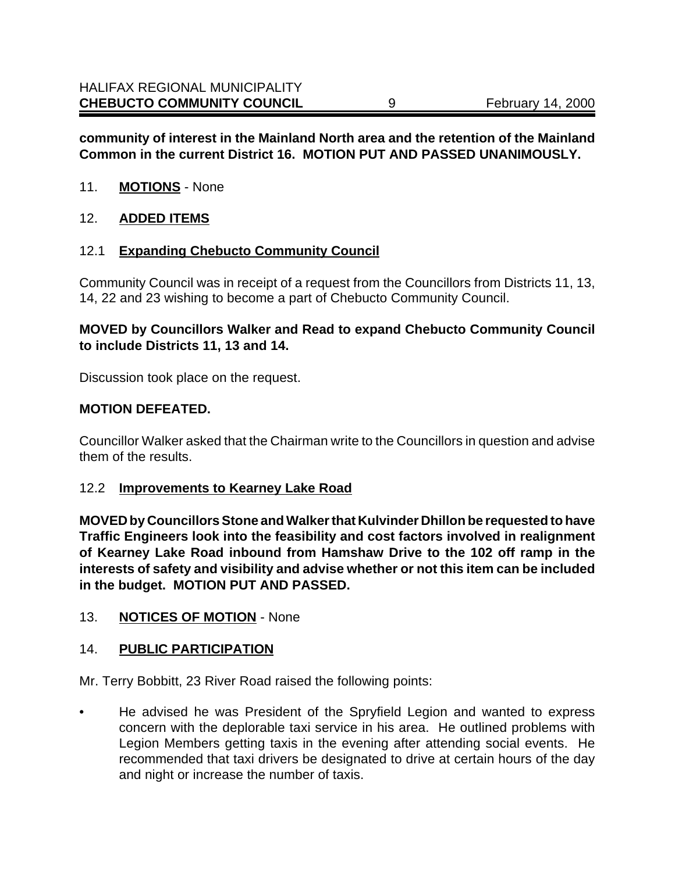## **community of interest in the Mainland North area and the retention of the Mainland Common in the current District 16. MOTION PUT AND PASSED UNANIMOUSLY.**

- 11. **MOTIONS** None
- 12. **ADDED ITEMS**

#### 12.1 **Expanding Chebucto Community Council**

Community Council was in receipt of a request from the Councillors from Districts 11, 13, 14, 22 and 23 wishing to become a part of Chebucto Community Council.

## **MOVED by Councillors Walker and Read to expand Chebucto Community Council to include Districts 11, 13 and 14.**

Discussion took place on the request.

#### **MOTION DEFEATED.**

Councillor Walker asked that the Chairman write to the Councillors in question and advise them of the results.

#### 12.2 **Improvements to Kearney Lake Road**

**MOVED by Councillors Stone and Walker that Kulvinder Dhillon be requested to have Traffic Engineers look into the feasibility and cost factors involved in realignment of Kearney Lake Road inbound from Hamshaw Drive to the 102 off ramp in the interests of safety and visibility and advise whether or not this item can be included in the budget. MOTION PUT AND PASSED.**

#### 13. **NOTICES OF MOTION** - None

#### 14. **PUBLIC PARTICIPATION**

Mr. Terry Bobbitt, 23 River Road raised the following points:

• He advised he was President of the Spryfield Legion and wanted to express concern with the deplorable taxi service in his area. He outlined problems with Legion Members getting taxis in the evening after attending social events. He recommended that taxi drivers be designated to drive at certain hours of the day and night or increase the number of taxis.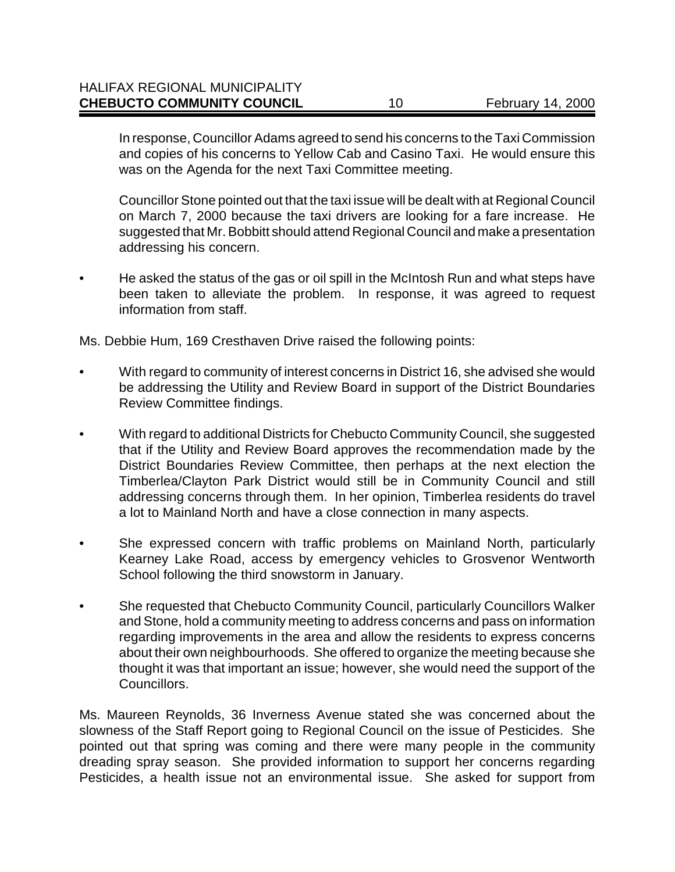In response, Councillor Adams agreed to send his concerns to the Taxi Commission and copies of his concerns to Yellow Cab and Casino Taxi. He would ensure this was on the Agenda for the next Taxi Committee meeting.

Councillor Stone pointed out that the taxi issue will be dealt with at Regional Council on March 7, 2000 because the taxi drivers are looking for a fare increase. He suggested that Mr. Bobbitt should attend Regional Council and make a presentation addressing his concern.

• He asked the status of the gas or oil spill in the McIntosh Run and what steps have been taken to alleviate the problem. In response, it was agreed to request information from staff.

Ms. Debbie Hum, 169 Cresthaven Drive raised the following points:

- With regard to community of interest concerns in District 16, she advised she would be addressing the Utility and Review Board in support of the District Boundaries Review Committee findings.
- With regard to additional Districts for Chebucto Community Council, she suggested that if the Utility and Review Board approves the recommendation made by the District Boundaries Review Committee, then perhaps at the next election the Timberlea/Clayton Park District would still be in Community Council and still addressing concerns through them. In her opinion, Timberlea residents do travel a lot to Mainland North and have a close connection in many aspects.
- She expressed concern with traffic problems on Mainland North, particularly Kearney Lake Road, access by emergency vehicles to Grosvenor Wentworth School following the third snowstorm in January.
- She requested that Chebucto Community Council, particularly Councillors Walker and Stone, hold a community meeting to address concerns and pass on information regarding improvements in the area and allow the residents to express concerns about their own neighbourhoods. She offered to organize the meeting because she thought it was that important an issue; however, she would need the support of the Councillors.

Ms. Maureen Reynolds, 36 Inverness Avenue stated she was concerned about the slowness of the Staff Report going to Regional Council on the issue of Pesticides. She pointed out that spring was coming and there were many people in the community dreading spray season. She provided information to support her concerns regarding Pesticides, a health issue not an environmental issue. She asked for support from